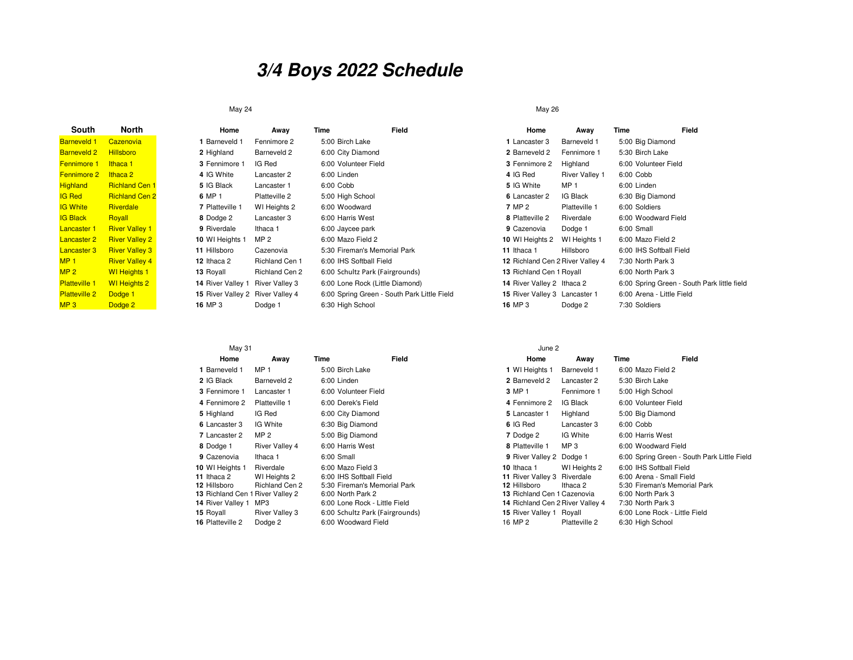## **3/4 Boys 2022 Schedule**

## May 24

| South                | North                 | Home                             | Away                  | Time                            | Field                                       | Home                             | Away                  | Time                      | Field                                       |
|----------------------|-----------------------|----------------------------------|-----------------------|---------------------------------|---------------------------------------------|----------------------------------|-----------------------|---------------------------|---------------------------------------------|
| <b>Barneveld 1</b>   | Cazenovia             | 1 Barneveld 1                    | Fennimore 2           | 5:00 Birch Lake                 |                                             | 1 Lancaster 3                    | Barneveld 1           | 5:00 Big Diamond          |                                             |
| <b>Barneveld 2</b>   | <b>Hillsboro</b>      | 2 Highland                       | Barneveld 2           | 6:00 City Diamond               |                                             | 2 Barneveld 2                    | Fennimore 1           | 5:30 Birch Lake           |                                             |
| <b>Fennimore 1</b>   | Ithaca 1              | 3 Fennimore 1                    | IG Red                | 6:00 Volunteer Field            |                                             | 3 Fennimore 2                    | Highland              | 6:00 Volunteer Field      |                                             |
| Fennimore 2          | lthaca 2              | 4 IG White                       | Lancaster 2           | 6:00 Linden                     |                                             | 4 IG Red                         | <b>River Valley 1</b> | 6:00 Cobb                 |                                             |
| <b>Highland</b>      | <b>Richland Cen 1</b> | 5 IG Black                       | Lancaster 1           | 6:00 Cobb                       |                                             | 5 IG White                       | MP 1                  | 6:00 Linden               |                                             |
| <b>IG Red</b>        | <b>Richland Cen 2</b> | 6 MP 1                           | Platteville 2         | 5:00 High School                |                                             | 6 Lancaster 2                    | IG Black              | 6:30 Big Diamond          |                                             |
| <b>IG White</b>      | <b>Riverdale</b>      | 7 Platteville 1                  | WI Heights 2          | 6:00 Woodward                   |                                             | 7 MP 2                           | Platteville 1         | 6:00 Soldiers             |                                             |
| <b>IG Black</b>      | Royall                | 8 Dodge 2                        | Lancaster 3           | 6:00 Harris West                |                                             | 8 Platteville 2                  | Riverdale             | 6:00 Woodward Field       |                                             |
| <b>Lancaster 1</b>   | <b>River Valley 1</b> | 9 Riverdale                      | Ithaca 1              | 6:00 Jaycee park                |                                             | 9 Cazenovia                      | Dodge 1               | 6:00 Small                |                                             |
| <b>Lancaster 2</b>   | <b>River Valley 2</b> | 10 WI Heights 1                  | MP 2                  | 6:00 Mazo Field 2               |                                             | 10 WI Heights 2                  | WI Heights 1          | 6:00 Mazo Field 2         |                                             |
| <b>Lancaster 3</b>   | <b>River Valley 3</b> | 11 Hillsboro                     | Cazenovia             | 5:30 Fireman's Memorial Park    |                                             | 11 Ithaca 1                      | Hillsboro             | 6:00 IHS Softball Field   |                                             |
| MP <sub>1</sub>      | <b>River Valley 4</b> | 12 Ithaca 2                      | Richland Cen 1        | 6:00 IHS Softball Field         |                                             | 12 Richland Cen 2 River Valley 4 |                       | 7:30 North Park 3         |                                             |
| MP <sub>2</sub>      | <b>WI</b> Heights 1   | 13 Royall                        | Richland Cen 2        | 6:00 Schultz Park (Fairgrounds) |                                             | 13 Richland Cen 1 Royall         |                       | 6:00 North Park 3         |                                             |
| <b>Platteville 1</b> | <b>WI</b> Heights 2   | 14 River Valley 1                | <b>River Valley 3</b> | 6:00 Lone Rock (Little Diamond) |                                             | 14 River Valley 2 Ithaca 2       |                       |                           | 6:00 Spring Green - South Park little field |
| <b>Platteville 2</b> | Dodge 1               | 15 River Valley 2 River Valley 4 |                       |                                 | 6:00 Spring Green - South Park Little Field | 15 River Valley 3 Lancaster 1    |                       | 6:00 Arena - Little Field |                                             |
| MP3                  | Dodge 2               | 16 MP 3                          | Dodge 1               | 6:30 High School                |                                             | 16 MP 3                          | Dodge 2               | 7:30 Soldiers             |                                             |

## May 31

| May 31                                                                                                                                   |                                                                                        | June 2                                                                                                                                                                                       |       |                                                                                                                                                               |                                                     |                                                                                                                                                                                    |                                             |  |
|------------------------------------------------------------------------------------------------------------------------------------------|----------------------------------------------------------------------------------------|----------------------------------------------------------------------------------------------------------------------------------------------------------------------------------------------|-------|---------------------------------------------------------------------------------------------------------------------------------------------------------------|-----------------------------------------------------|------------------------------------------------------------------------------------------------------------------------------------------------------------------------------------|---------------------------------------------|--|
| Home                                                                                                                                     | Away                                                                                   | Time                                                                                                                                                                                         | Field | Home                                                                                                                                                          | Away                                                | Time                                                                                                                                                                               | Field                                       |  |
| 1 Barneveld 1                                                                                                                            | MP <sub>1</sub>                                                                        | 5:00 Birch Lake                                                                                                                                                                              |       | 1 WI Heights 1                                                                                                                                                | Barneveld 1                                         | 6:00 Mazo Field 2                                                                                                                                                                  |                                             |  |
| 2 IG Black                                                                                                                               | Barneveld 2                                                                            | 6:00 Linden                                                                                                                                                                                  |       | 2 Barneveld 2                                                                                                                                                 | Lancaster 2                                         | 5:30 Birch Lake                                                                                                                                                                    |                                             |  |
| 3 Fennimore 1                                                                                                                            | Lancaster 1                                                                            | 6:00 Volunteer Field                                                                                                                                                                         |       | 3 MP 1                                                                                                                                                        | Fennimore 1                                         | 5:00 High School                                                                                                                                                                   |                                             |  |
| 4 Fennimore 2                                                                                                                            | Platteville 1                                                                          | 6:00 Derek's Field                                                                                                                                                                           |       | 4 Fennimore 2                                                                                                                                                 | IG Black                                            | 6:00 Volunteer Field                                                                                                                                                               |                                             |  |
| 5 Highland                                                                                                                               | IG Red                                                                                 | 6:00 City Diamond                                                                                                                                                                            |       | 5 Lancaster 1                                                                                                                                                 | Highland                                            | 5:00 Big Diamond                                                                                                                                                                   |                                             |  |
| 6 Lancaster 3                                                                                                                            | IG White                                                                               | 6:30 Big Diamond                                                                                                                                                                             |       | 6 IG Red                                                                                                                                                      | Lancaster 3                                         | 6:00 Cobb                                                                                                                                                                          |                                             |  |
| 7 Lancaster 2                                                                                                                            | MP <sub>2</sub>                                                                        | 5:00 Big Diamond                                                                                                                                                                             |       | 7 Dodge 2                                                                                                                                                     | IG White                                            | 6:00 Harris West                                                                                                                                                                   |                                             |  |
| 8 Dodge 1                                                                                                                                | River Valley 4                                                                         | 6:00 Harris West                                                                                                                                                                             |       | 8 Platteville 1                                                                                                                                               | MP <sub>3</sub>                                     | 6:00 Woodward Field                                                                                                                                                                |                                             |  |
| 9 Cazenovia                                                                                                                              | Ithaca 1                                                                               | 6:00 Small                                                                                                                                                                                   |       | 9 River Valley 2 Dodge 1                                                                                                                                      |                                                     |                                                                                                                                                                                    | 6:00 Spring Green - South Park Little Field |  |
| 10 WI Heights 1<br>11 Ithaca 2<br>12 Hillsboro<br>13 Richland Cen 1 River Valley 2<br>14 River Valley 1<br>15 Royall<br>16 Platteville 2 | Riverdale<br>WI Heights 2<br>Richland Cen 2<br>MP3<br><b>River Valley 3</b><br>Dodge 2 | 6:00 Mazo Field 3<br>6:00 IHS Softball Field<br>5:30 Fireman's Memorial Park<br>6:00 North Park 2<br>6:00 Lone Rock - Little Field<br>6:00 Schultz Park (Fairgrounds)<br>6:00 Woodward Field |       | 10 Ithaca 1<br>11 River Valley 3 Riverdale<br>12 Hillsboro<br>13 Richland Cen 1 Cazenovia<br>14 Richland Cen 2 River Valley 4<br>15 River Valley 1<br>16 MP 2 | WI Heights 2<br>Ithaca 2<br>Royall<br>Platteville 2 | 6:00 IHS Softball Field<br>6:00 Arena - Small Field<br>5:30 Fireman's Memorial Park<br>6:00 North Park 3<br>7:30 North Park 3<br>6:00 Lone Rock - Little Field<br>6:30 High School |                                             |  |
|                                                                                                                                          |                                                                                        |                                                                                                                                                                                              |       |                                                                                                                                                               |                                                     |                                                                                                                                                                                    |                                             |  |

## May 26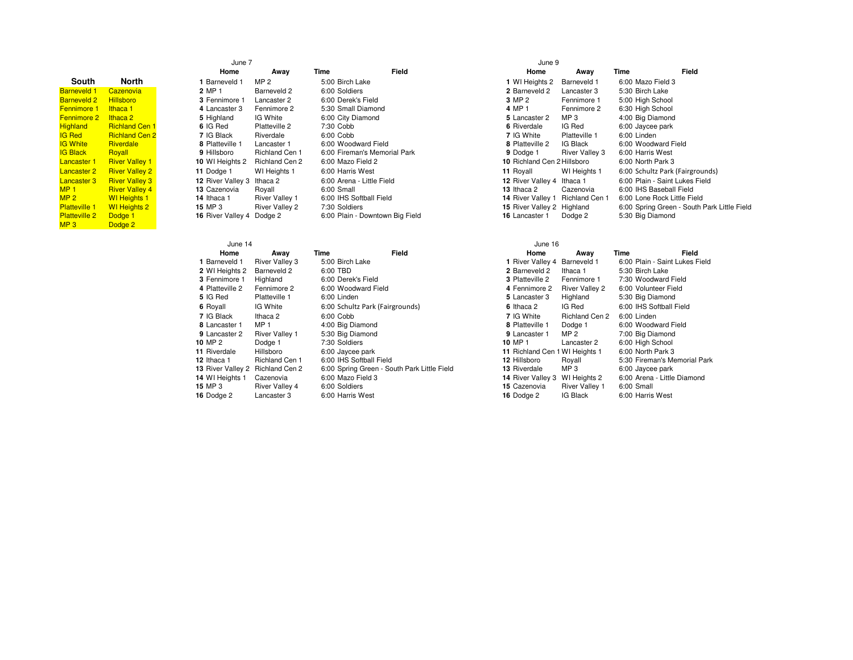| South                | North                 |
|----------------------|-----------------------|
| <b>Barneveld 1</b>   | Cazenovia             |
| <b>Barneveld 2</b>   | <b>Hillsboro</b>      |
| <b>Fennimore 1</b>   | Ithaca 1              |
| <b>Fennimore 2</b>   | Ithaca 2              |
| <b>Highland</b>      | <b>Richland Cen 1</b> |
| <b>IG Red</b>        | <b>Richland Cen 2</b> |
| <b>IG White</b>      | <b>Riverdale</b>      |
| <b>IG Black</b>      | Royall                |
| <b>Lancaster 1</b>   | <b>River Valley 1</b> |
| <b>Lancaster 2</b>   | <b>River Valley 2</b> |
| <b>Lancaster 3</b>   | <b>River Valley 3</b> |
| MP <sub>1</sub>      | <b>River Valley 4</b> |
| MP <sub>2</sub>      | <b>WI</b> Heights 1   |
| <b>Platteville 1</b> | <b>WI Heights 2</b>   |
| <b>Platteville 2</b> | Dodge 1               |
| MP <sub>3</sub>      | Dodge <sub>2</sub>    |

| June 7            |                       |      |                                 | June 9            |
|-------------------|-----------------------|------|---------------------------------|-------------------|
| Home              | Away                  | Time | Field                           | Home              |
| 1 Barneveld 1     | MP <sub>2</sub>       |      | 5:00 Birch Lake                 | 1 WI Heights 2    |
| 2 MP 1            | Barneveld 2           |      | 6:00 Soldiers                   | 2 Barneveld 2     |
| 3 Fennimore 1     | Lancaster 2           |      | 6:00 Derek's Field              | 3 MP 2            |
| 4 Lancaster 3     | Fennimore 2           |      | 5:30 Small Diamond              | 4 MP 1            |
| 5 Highland        | IG White              |      | 6:00 City Diamond               | 5 Lancaster 2     |
| 6 IG Red          | Platteville 2         |      | 7:30 Cobb                       | 6 Riverdale       |
| 7 IG Black        | Riverdale             |      | 6:00 Cobb                       | 7 IG White        |
| 8 Platteville 1   | Lancaster 1           |      | 6:00 Woodward Field             | 8 Platteville 2   |
| 9 Hillsboro       | Richland Cen 1        |      | 6:00 Fireman's Memorial Park    | 9 Dodge 1         |
| 10 WI Heights 2   | <b>Richland Cen 2</b> |      | 6:00 Mazo Field 2               | 10 Richland Cen 2 |
| 11 Dodge 1        | WI Heights 1          |      | 6:00 Harris West                | 11 Royall         |
| 12 River Valley 3 | Ithaca 2              |      | 6:00 Arena - Little Field       | 12 River Valley 4 |
| 13 Cazenovia      | Royall                |      | 6:00 Small                      | 13 Ithaca 2       |
| 14 Ithaca 1       | <b>River Valley 1</b> |      | 6:00 IHS Softball Field         | 14 River Valley 1 |
| 15 MP 3           | <b>River Valley 2</b> |      | 7:30 Soldiers                   | 15 River Valley 2 |
| 16 River Valley 4 | Dodge 2               |      | 6:00 Plain - Downtown Big Field | 16 Lancaster 1    |

| Time | Field                           |
|------|---------------------------------|
|      | 5:00 Birch Lake                 |
|      | 6:00 Soldiers                   |
|      | 6:00 Derek's Field              |
|      | 5:30 Small Diamond              |
|      | 6:00 City Diamond               |
|      | 7:30 Cobb                       |
|      | $6:00$ Cobb                     |
|      | 6:00 Woodward Field             |
|      | 6:00 Fireman's Memorial Park    |
|      | 6:00 Mazo Field 2               |
|      | 6:00 Harris West                |
|      | 6:00 Arena - Little Field       |
|      | 6:00 Small                      |
|      | 6:00 IHS Softball Field         |
|      | 7:30 Soldiers                   |
|      | 6:00 Plain - Downtown Big Field |
|      |                                 |

|                      |                       | June 7                     |                       | June 9                          |       |                             |                       |                                 |                                             |
|----------------------|-----------------------|----------------------------|-----------------------|---------------------------------|-------|-----------------------------|-----------------------|---------------------------------|---------------------------------------------|
|                      |                       | Home                       | Away                  | Time                            | Field | Home                        | Away                  | Time                            | Field                                       |
| outh                 | North                 | l Barneveld 1              | MP <sub>2</sub>       | 5:00 Birch Lake                 |       | 1 WI Heights 2              | Barneveld 1           | 6:00 Mazo Field 3               |                                             |
| veld 1               | Cazenovia             | 2 MP 1                     | Barneveld 2           | 6:00 Soldiers                   |       | 2 Barneveld 2               | Lancaster 3           | 5:30 Birch Lake                 |                                             |
| veld 2               | <b>Hillsboro</b>      | 3 Fennimore 1              | Lancaster 2           | 6:00 Derek's Field              |       | 3 MP 2                      | Fennimore 1           | 5:00 High School                |                                             |
| more :               | Ithaca 1              | 4 Lancaster 3              | Fennimore 2           | 5:30 Small Diamond              |       | 4 MP 1                      | Fennimore 2           | 6:30 High School                |                                             |
| more 2               | Ithaca 2              | 5 Highland                 | IG White              | 6:00 City Diamond               |       | 5 Lancaster 2               | MP <sub>3</sub>       | 4:00 Big Diamond                |                                             |
| ınd                  | <b>Richland Cen 1</b> | 6 IG Red                   | Platteville 2         | 7:30 Cobb                       |       | 6 Riverdale                 | IG Red                | 6:00 Jaycee park                |                                             |
|                      | <b>Richland Cen 2</b> | 7 IG Black                 | Riverdale             | 6:00 Cobb                       |       | 7 IG White                  | Platteville 1         | 6:00 Linden                     |                                             |
| iite                 | Riverdale             | 8 Platteville 1            | Lancaster 1           | 6:00 Woodward Field             |       | 8 Platteville 2             | IG Black              | 6:00 Woodward Field             |                                             |
| ick.                 | Royall                | 9 Hillsboro                | Richland Cen 1        | 6:00 Fireman's Memorial Park    |       | 9 Dodge 1                   | <b>River Valley 3</b> | 6:00 Harris West                |                                             |
| ster 1               | <b>River Valley 1</b> | 10 WI Heights 2            | Richland Cen 2        | 6:00 Mazo Field 2               |       | 10 Richland Cen 2 Hillsboro |                       | 6:00 North Park 3               |                                             |
| ster 2               | <b>River Valley 2</b> | 11 Dodge 1                 | WI Heights 1          | 6:00 Harris West                |       | 11 Royall                   | WI Heights 1          | 6:00 Schultz Park (Fairgrounds) |                                             |
| ster 3               | <b>River Valley 3</b> | 12 River Valley 3 Ithaca 2 |                       | 6:00 Arena - Little Field       |       | 12 River Valley 4           | Ithaca 1              | 6:00 Plain - Saint Lukes Field  |                                             |
|                      | <b>River Valley 4</b> | 13 Cazenovia               | Royall                | 6:00 Small                      |       | 13 Ithaca 2                 | Cazenovia             | 6:00 IHS Baseball Field         |                                             |
|                      | <b>WI</b> Heights 1   | 14 Ithaca 1                | <b>River Valley 1</b> | 6:00 IHS Softball Field         |       | 14 River Valley 1           | Richland Cen 1        | 6:00 Lone Rock Little Field     |                                             |
| <mark>ville 1</mark> | <b>WI</b> Heights 2   | <b>15 MP 3</b>             | <b>River Valley 2</b> | 7:30 Soldiers                   |       | 15 River Valley 2 Highland  |                       |                                 | 6:00 Spring Green - South Park Little Field |
| ville 2              | Dodge 1               | 16 River Valley 4 Dodge 2  |                       | 6:00 Plain - Downtown Big Field |       | 16 Lancaster 1              | Dodge 2               | 5:30 Big Diamond                |                                             |
|                      |                       |                            |                       |                                 |       |                             |                       |                                 |                                             |

| June 14           |                       |      |                                             | June 16                        |                       |      |                                |
|-------------------|-----------------------|------|---------------------------------------------|--------------------------------|-----------------------|------|--------------------------------|
| Home              | Awav                  | Time | Field                                       | Home                           | Awav                  | Time | Field                          |
| 1 Barneveld 1     | <b>River Valley 3</b> |      | 5:00 Birch Lake                             | 1 River Valley 4               | Barneveld 1           |      | 6:00 Plain - Saint Lukes Field |
| 2 WI Heights 2    | Barneveld 2           |      | 6:00 TBD                                    | 2 Barneveld 2                  | Ithaca 1              |      | 5:30 Birch Lake                |
| 3 Fennimore 1     | Highland              |      | 6:00 Derek's Field                          | 3 Platteville 2                | Fennimore 1           |      | 7:30 Woodward Field            |
| 4 Platteville 2   | Fennimore 2           |      | 6:00 Woodward Field                         | 4 Fennimore 2                  | <b>River Valley 2</b> |      | 6:00 Volunteer Field           |
| 5 IG Red          | Platteville 1         |      | 6:00 Linden                                 | 5 Lancaster 3                  | Highland              |      | 5:30 Big Diamond               |
| 6 Royall          | IG White              |      | 6:00 Schultz Park (Fairgrounds)             | 6 Ithaca 2                     | IG Red                |      | 6:00 IHS Softball Field        |
| 7 IG Black        | Ithaca 2              |      | 6:00 Cobb                                   | 7 IG White                     | Richland Cen 2        |      | 6:00 Linden                    |
| 8 Lancaster 1     | MP <sub>1</sub>       |      | 4:00 Big Diamond                            | 8 Platteville 1                | Dodge 1               |      | 6:00 Woodward Field            |
| 9 Lancaster 2     | <b>River Valley 1</b> |      | 5:30 Big Diamond                            | 9 Lancaster 1                  | MP 2                  |      | 7:00 Big Diamond               |
| 10 MP 2           | Dodge 1               |      | 7:30 Soldiers                               | 10 MP 1                        | Lancaster 2           |      | 6:00 High School               |
| 11 Riverdale      | Hillsboro             |      | 6:00 Jaycee park                            | 11 Richland Cen 1 WI Heights 1 |                       |      | 6:00 North Park 3              |
| 12 Ithaca 1       | <b>Richland Cen 1</b> |      | 6:00 IHS Softball Field                     | 12 Hillsboro                   | Royall                |      | 5:30 Fireman's Memorial Park   |
| 13 River Valley 2 | Richland Cen 2        |      | 6:00 Spring Green - South Park Little Field | 13 Riverdale                   | MP <sub>3</sub>       |      | 6:00 Jaycee park               |
| 14 WI Heights 1   | Cazenovia             |      | 6:00 Mazo Field 3                           | 14 River Valley 3              | WI Heights 2          |      | 6:00 Arena - Little Diamond    |
| 15 MP 3           | <b>River Valley 4</b> |      | 6:00 Soldiers                               | 15 Cazenovia                   | <b>River Valley 1</b> |      | 6:00 Small                     |
| 16 Dodge 2        | Lancaster 3           |      | 6:00 Harris West                            | 16 Dodge 2                     | <b>IG Black</b>       |      | 6:00 Harris West               |